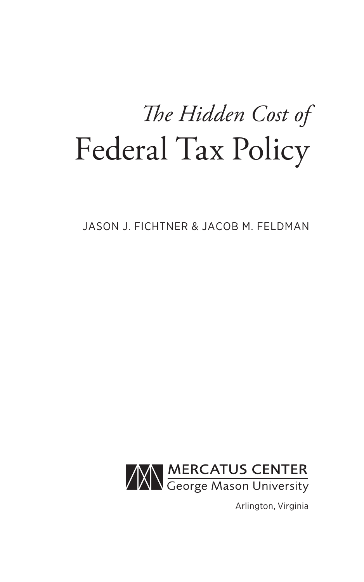# *The Hidden Cost of* Federal Tax Policy

JASON J. FICHTNER & JACOB M. FELDMAN



Arlington, Virginia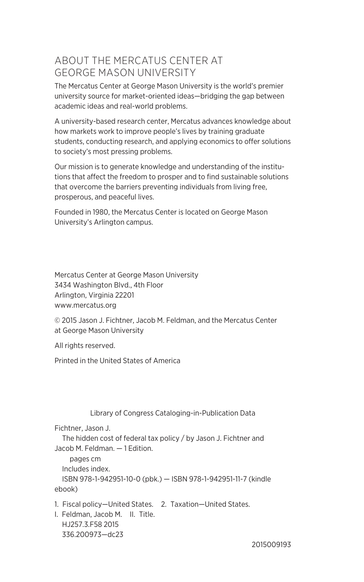#### ABOUT THE MERCATUS CENTER AT GEORGE MASON UNIVERSITY

The Mercatus Center at George Mason University is the world's premier university source for market-oriented ideas—bridging the gap between academic ideas and real-world problems.

A university-based research center, Mercatus advances knowledge about how markets work to improve people's lives by training graduate students, conducting research, and applying economics to offer solutions to society's most pressing problems.

Our mission is to generate knowledge and understanding of the institutions that affect the freedom to prosper and to find sustainable solutions that overcome the barriers preventing individuals from living free, prosperous, and peaceful lives.

Founded in 1980, the Mercatus Center is located on George Mason University's Arlington campus.

Mercatus Center at George Mason University 3434 Washington Blvd., 4th Floor Arlington, Virginia 22201 <www.mercatus.org>

© 2015 Jason J. Fichtner, Jacob M. Feldman, and the Mercatus Center at George Mason University

All rights reserved.

Printed in the United States of America

Library of Congress Cataloging-in-Publication Data

Fichtner, Jason J.

 The hidden cost of federal tax policy / by Jason J. Fichtner and Jacob M. Feldman. — 1 Edition.

 pages cm Includes index. ISBN 978-1-942951-10-0 (pbk.) — ISBN 978-1-942951-11-7 (kindle ebook)

1. Fiscal policy—United States. 2. Taxation—United States.

I. Feldman, Jacob M. II. Title. HJ257.3.F58 2015 336.200973—dc23

2015009193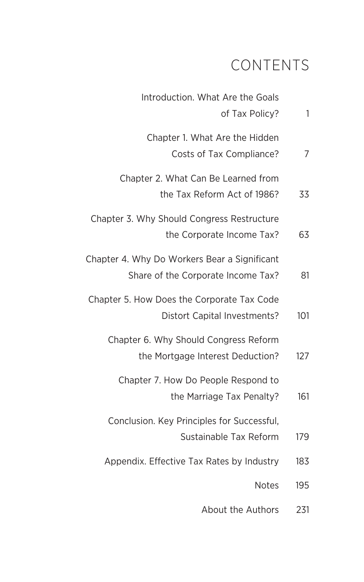### CONTENTS

| 1   | Introduction. What Are the Goals<br>of Tax Policy?                                 |
|-----|------------------------------------------------------------------------------------|
| 7   | Chapter 1. What Are the Hidden<br>Costs of Tax Compliance?                         |
| 33  | Chapter 2. What Can Be Learned from<br>the Tax Reform Act of 1986?                 |
| 63  | Chapter 3. Why Should Congress Restructure<br>the Corporate Income Tax?            |
| 81  | Chapter 4. Why Do Workers Bear a Significant<br>Share of the Corporate Income Tax? |
| 101 | Chapter 5. How Does the Corporate Tax Code<br>Distort Capital Investments?         |
| 127 | Chapter 6. Why Should Congress Reform<br>the Mortgage Interest Deduction?          |
| 161 | Chapter 7. How Do People Respond to<br>the Marriage Tax Penalty?                   |
| 179 | Conclusion. Key Principles for Successful,<br>Sustainable Tax Reform               |
| 183 | Appendix. Effective Tax Rates by Industry                                          |
| 195 | <b>Notes</b>                                                                       |
|     |                                                                                    |

[About the Authors](#page--1-0) 231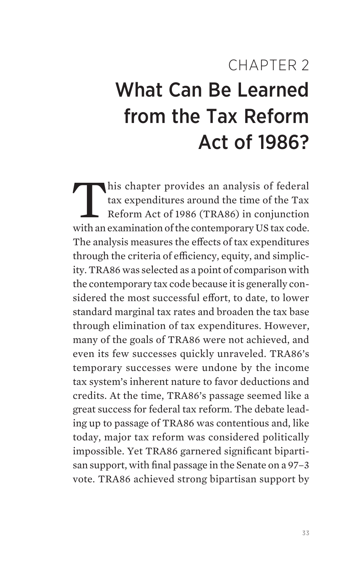## <span id="page-3-0"></span>CHAPTER 2 What Can Be Learned from the Tax Reform Act of 1986?

his chapter provides an analysis of federal tax expenditures around the time of the Tax Reform Act of 1986 (TRA86) in conjunction with an examination of the contemporary US tax code. The analysis measures the effects of tax expenditures through the criteria of efficiency, equity, and simplicity. TRA86 was selected as a point of comparison with the contemporary tax code because it is generally considered the most successful effort, to date, to lower standard marginal tax rates and broaden the tax base through elimination of tax expenditures. However, many of the goals of TRA86 were not achieved, and even its few successes quickly unraveled. TRA86's temporary successes were undone by the income tax system's inherent nature to favor deductions and credits. At the time, TRA86's passage seemed like a great success for federal tax reform. The debate leading up to passage of TRA86 was contentious and, like today, major tax reform was considered politically impossible. Yet TRA86 garnered significant bipartisan support, with final passage in the Senate on a 97–3 vote. TRA86 achieved strong bipartisan support by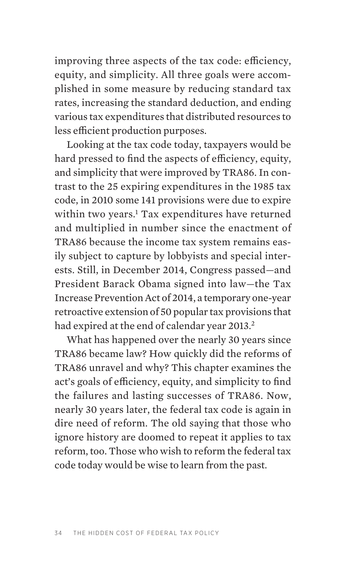improving three aspects of the tax code: efficiency, equity, and simplicity. All three goals were accomplished in some measure by reducing standard tax rates, increasing the standard deduction, and ending various tax expenditures that distributed resources to less efficient production purposes.

Looking at the tax code today, taxpayers would be hard pressed to find the aspects of efficiency, equity, and simplicity that were improved by TRA86. In contrast to the 25 expiring expenditures in the 1985 tax code, in 2010 some 141 provisions were due to expire within two years.<sup>[1](#page-32-0)</sup> Tax expenditures have returned and multiplied in number since the enactment of TRA86 because the income tax system remains easily subject to capture by lobbyists and special interests. Still, in December 2014, Congress passed—and President Barack Obama signed into law—the Tax Increase Prevention Act of 2014, a temporary one-year retroactive extension of 50 popular tax provisions that had expired at the end of calendar year [2](#page-32-0)013.<sup>2</sup>

What has happened over the nearly 30 years since TRA86 became law? How quickly did the reforms of TRA86 unravel and why? This chapter examines the act's goals of efficiency, equity, and simplicity to find the failures and lasting successes of TRA86. Now, nearly 30 years later, the federal tax code is again in dire need of reform. The old saying that those who ignore history are doomed to repeat it applies to tax reform, too. Those who wish to reform the federal tax code today would be wise to learn from the past.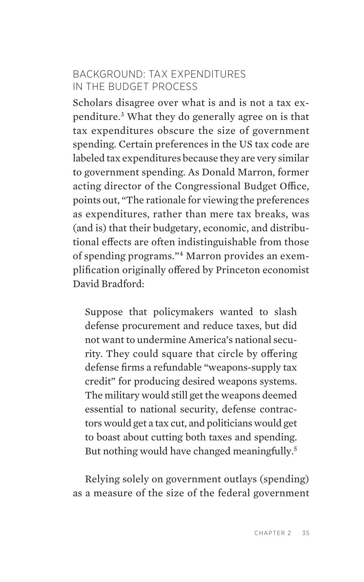#### BACKGROUND: TAX EXPENDITURES IN THE BUDGET PROCESS

Scholars disagree over what is and is not a tax expenditure[.3](#page-32-0) What they do generally agree on is that tax expenditures obscure the size of government spending. Certain preferences in the US tax code are labeled tax expenditures because they are very similar to government spending. As Donald Marron, former acting director of the Congressional Budget Office, points out, "The rationale for viewing the preferences as expenditures, rather than mere tax breaks, was (and is) that their budgetary, economic, and distributional effects are often indistinguishable from those of spending programs."[4](#page-32-0) Marron provides an exemplification originally offered by Princeton economist David Bradford:

Suppose that policymakers wanted to slash defense procurement and reduce taxes, but did not want to undermine America's national security. They could square that circle by offering defense firms a refundable "weapons-supply tax credit" for producing desired weapons systems. The military would still get the weapons deemed essential to national security, defense contractors would get a tax cut, and politicians would get to boast about cutting both taxes and spending. But nothing would have changed meaningfully.<sup>[5](#page-32-0)</sup>

Relying solely on government outlays (spending) as a measure of the size of the federal government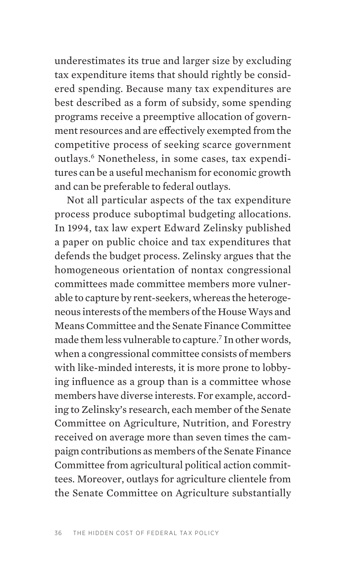underestimates its true and larger size by excluding tax expenditure items that should rightly be considered spending. Because many tax expenditures are best described as a form of subsidy, some spending programs receive a preemptive allocation of government resources and are effectively exempted from the competitive process of seeking scarce government outlays.<sup>6</sup> Nonetheless, in some cases, tax expenditures can be a useful mechanism for economic growth and can be preferable to federal outlays.

Not all particular aspects of the tax expenditure process produce suboptimal budgeting allocations. In 1994, tax law expert Edward Zelinsky published a paper on public choice and tax expenditures that defends the budget process. Zelinsky argues that the homogeneous orientation of nontax congressional committees made committee members more vulnerable to capture by rent-seekers, whereas the heterogeneous interests of the members of the House Ways and Means Committee and the Senate Finance Committee made them less vulnerable to capture.<sup>7</sup> In other words, when a congressional committee consists of members with like-minded interests, it is more prone to lobbying influence as a group than is a committee whose members have diverse interests. For example, according to Zelinsky's research, each member of the Senate Committee on Agriculture, Nutrition, and Forestry received on average more than seven times the campaign contributions as members of the Senate Finance Committee from agricultural political action committees. Moreover, outlays for agriculture clientele from the Senate Committee on Agriculture substantially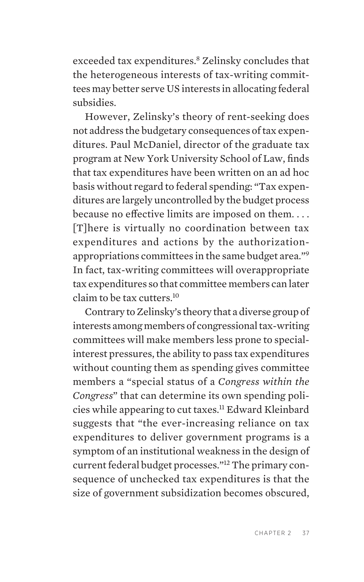exceeded tax expenditures.<sup>8</sup> Zelinsky concludes that the heterogeneous interests of tax-writing committees may better serve US interests in allocating federal subsidies.

However, Zelinsky's theory of rent-seeking does not address the budgetary consequences of tax expenditures. Paul McDaniel, director of the graduate tax program at New York University School of Law, finds that tax expenditures have been written on an ad hoc basis without regard to federal spending: "Tax expenditures are largely uncontrolled by the budget process because no effective limits are imposed on them. . . . [T]here is virtually no coordination between tax expenditures and actions by the authorizationappropriations committees in the same budget area.["9](#page-33-0) In fact, tax-writing committees will overappropriate tax expenditures so that committee members can later claim to be tax cutters.[10](#page-33-0)

Contrary to Zelinsky's theory that a diverse group of interests among members of congressional tax-writing committees will make members less prone to specialinterest pressures, the ability to pass tax expenditures without counting them as spending gives committee members a "special status of a *Congress within the Congress*" that can determine its own spending policies while appearing to cut taxes.[11](#page-33-0) Edward Kleinbard suggests that "the ever-increasing reliance on tax expenditures to deliver government programs is a symptom of an institutional weakness in the design of current federal budget processes."[12](#page-33-0) The primary consequence of unchecked tax expenditures is that the size of government subsidization becomes obscured,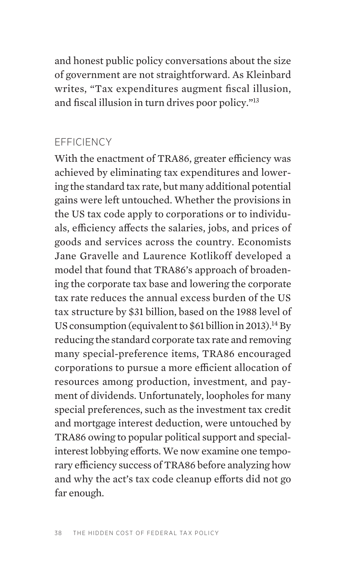and honest public policy conversations about the size of government are not straightforward. As Kleinbard writes, "Tax expenditures augment fiscal illusion, and fiscal illusion in turn drives poor policy."[13](#page-33-0)

#### EFFICIENCY

With the enactment of TRA86, greater efficiency was achieved by eliminating tax expenditures and lowering the standard tax rate, but many additional potential gains were left untouched. Whether the provisions in the US tax code apply to corporations or to individuals, efficiency affects the salaries, jobs, and prices of goods and services across the country. Economists Jane Gravelle and Laurence Kotlikoff developed a model that found that TRA86's approach of broadening the corporate tax base and lowering the corporate tax rate reduces the annual excess burden of the US tax structure by \$31 billion, based on the 1988 level of US consumption (equivalent to \$61 billion in 2013).<sup>14</sup> By reducing the standard corporate tax rate and removing many special-preference items, TRA86 encouraged corporations to pursue a more efficient allocation of resources among production, investment, and payment of dividends. Unfortunately, loopholes for many special preferences, such as the investment tax credit and mortgage interest deduction, were untouched by TRA86 owing to popular political support and specialinterest lobbying efforts. We now examine one temporary efficiency success of TRA86 before analyzing how and why the act's tax code cleanup efforts did not go far enough.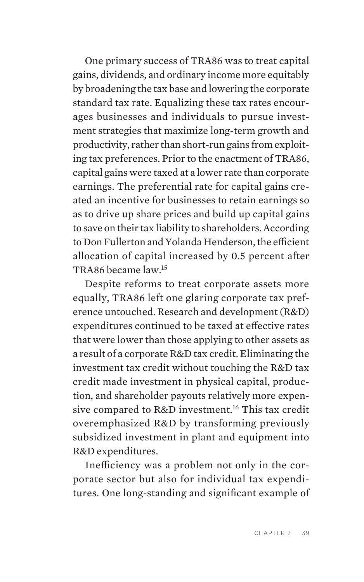One primary success of TRA86 was to treat capital gains, dividends, and ordinary income more equitably by broadening the tax base and lowering the corporate standard tax rate. Equalizing these tax rates encourages businesses and individuals to pursue investment strategies that maximize long-term growth and productivity, rather than short-run gains from exploiting tax preferences. Prior to the enactment of TRA86, capital gains were taxed at a lower rate than corporate earnings. The preferential rate for capital gains created an incentive for businesses to retain earnings so as to drive up share prices and build up capital gains to save on their tax liability to shareholders. According to Don Fullerton and Yolanda Henderson, the efficient allocation of capital increased by 0.5 percent after TRA86 became law.[15](#page-33-0)

Despite reforms to treat corporate assets more equally, TRA86 left one glaring corporate tax preference untouched. Research and development (R&D) expenditures continued to be taxed at effective rates that were lower than those applying to other assets as a result of a corporate R&D tax credit. Eliminating the investment tax credit without touching the R&D tax credit made investment in physical capital, production, and shareholder payouts relatively more expen-sive compared to R&D investment.<sup>[16](#page-33-0)</sup> This tax credit overemphasized R&D by transforming previously subsidized investment in plant and equipment into R&D expenditures.

Inefficiency was a problem not only in the corporate sector but also for individual tax expenditures. One long-standing and significant example of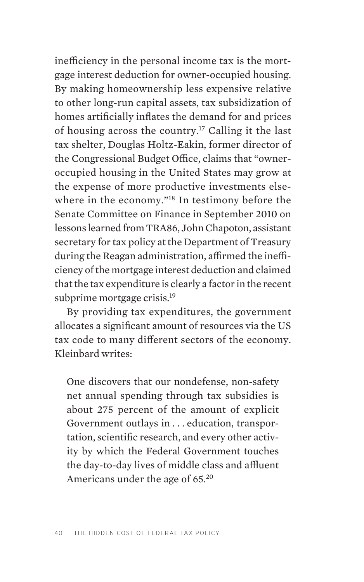inefficiency in the personal income tax is the mortgage interest deduction for owner-occupied housing. By making homeownership less expensive relative to other long-run capital assets, tax subsidization of homes artificially inflates the demand for and prices of housing across the country.<sup>17</sup> Calling it the last tax shelter, Douglas Holtz-Eakin, former director of the Congressional Budget Office, claims that "owneroccupied housing in the United States may grow at the expense of more productive investments else-where in the economy."<sup>[18](#page-33-0)</sup> In testimony before the Senate Committee on Finance in September 2010 on lessons learned from TRA86, John Chapoton, assistant secretary for tax policy at the Department of Treasury during the Reagan administration, affirmed the inefficiency of the mortgage interest deduction and claimed that the tax expenditure is clearly a factor in the recent subprime mortgage crisis.<sup>[19](#page-33-0)</sup>

By providing tax expenditures, the government allocates a significant amount of resources via the US tax code to many different sectors of the economy. Kleinbard writes:

One discovers that our nondefense, non-safety net annual spending through tax subsidies is about 275 percent of the amount of explicit Government outlays in . . . education, transportation, scientific research, and every other activity by which the Federal Government touches the day-to-day lives of middle class and affluent Americans under the age of 65.[20](#page-33-0)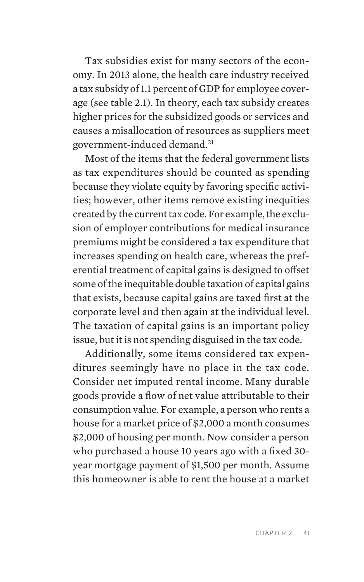Tax subsidies exist for many sectors of the economy. In 2013 alone, the health care industry received a tax subsidy of 1.1 percent of GDP for employee coverage (see table 2.1). In theory, each tax subsidy creates higher prices for the subsidized goods or services and causes a misallocation of resources as suppliers meet government-induced demand[.21](#page-33-0)

Most of the items that the federal government lists as tax expenditures should be counted as spending because they violate equity by favoring specific activities; however, other items remove existing inequities created by the current tax code. For example, the exclusion of employer contributions for medical insurance premiums might be considered a tax expenditure that increases spending on health care, whereas the preferential treatment of capital gains is designed to offset some of the inequitable double taxation of capital gains that exists, because capital gains are taxed first at the corporate level and then again at the individual level. The taxation of capital gains is an important policy issue, but it is not spending disguised in the tax code.

Additionally, some items considered tax expenditures seemingly have no place in the tax code. Consider net imputed rental income. Many durable goods provide a flow of net value attributable to their consumption value. For example, a person who rents a house for a market price of \$2,000 a month consumes \$2,000 of housing per month. Now consider a person who purchased a house 10 years ago with a fixed 30 year mortgage payment of \$1,500 per month. Assume this homeowner is able to rent the house at a market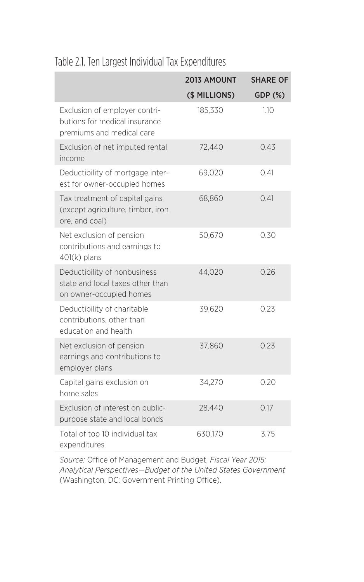#### Table 2.1. Ten Largest Individual Tax Expenditures

|                                                                                             | 2013 AMOUNT   | <b>SHARE OF</b> |
|---------------------------------------------------------------------------------------------|---------------|-----------------|
|                                                                                             | (\$ MILLIONS) | GDP (%)         |
| Exclusion of employer contri-<br>butions for medical insurance<br>premiums and medical care | 185,330       | 1.10            |
| Exclusion of net imputed rental<br>income                                                   | 72,440        | 0.43            |
| Deductibility of mortgage inter-<br>est for owner-occupied homes                            | 69,020        | 0.41            |
| Tax treatment of capital gains<br>(except agriculture, timber, iron<br>ore, and coal)       | 68,860        | 0.41            |
| Net exclusion of pension<br>contributions and earnings to<br>$401(k)$ plans                 | 50,670        | 0.30            |
| Deductibility of nonbusiness<br>state and local taxes other than<br>on owner-occupied homes | 44,020        | 0.26            |
| Deductibility of charitable<br>contributions, other than<br>education and health            | 39,620        | 0.23            |
| Net exclusion of pension<br>earnings and contributions to<br>employer plans                 | 37,860        | 0.23            |
| Capital gains exclusion on<br>home sales                                                    | 34.270        | 0.20            |
| Exclusion of interest on public-<br>purpose state and local bonds                           | 28,440        | 0.17            |
| Total of top 10 individual tax<br>expenditures                                              | 630,170       | 3.75            |

*Source:* Office of Management and Budget, *Fiscal Year 2015: Analytical Perspectives—Budget of the United States Government*  (Washington, DC: Government Printing Office).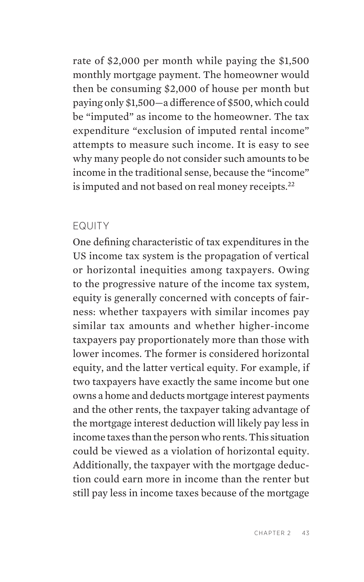rate of \$2,000 per month while paying the \$1,500 monthly mortgage payment. The homeowner would then be consuming \$2,000 of house per month but paying only \$1,500—a difference of \$500, which could be "imputed" as income to the homeowner. The tax expenditure "exclusion of imputed rental income" attempts to measure such income. It is easy to see why many people do not consider such amounts to be income in the traditional sense, because the "income" is imputed and not based on real money receipts.<sup>[22](#page-33-0)</sup>

#### EQUITY

One defining characteristic of tax expenditures in the US income tax system is the propagation of vertical or horizontal inequities among taxpayers. Owing to the progressive nature of the income tax system, equity is generally concerned with concepts of fairness: whether taxpayers with similar incomes pay similar tax amounts and whether higher-income taxpayers pay proportionately more than those with lower incomes. The former is considered horizontal equity, and the latter vertical equity. For example, if two taxpayers have exactly the same income but one owns a home and deducts mortgage interest payments and the other rents, the taxpayer taking advantage of the mortgage interest deduction will likely pay less in income taxes than the person who rents. This situation could be viewed as a violation of horizontal equity. Additionally, the taxpayer with the mortgage deduction could earn more in income than the renter but still pay less in income taxes because of the mortgage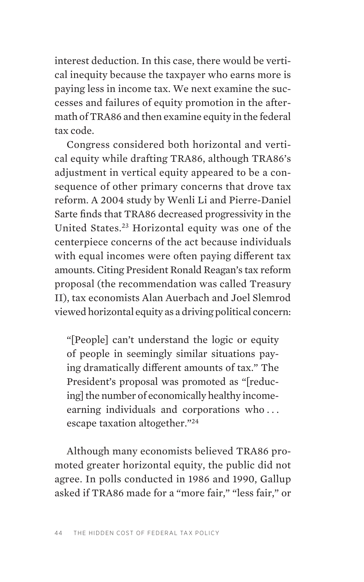interest deduction. In this case, there would be vertical inequity because the taxpayer who earns more is paying less in income tax. We next examine the successes and failures of equity promotion in the aftermath of TRA86 and then examine equity in the federal tax code.

Congress considered both horizontal and vertical equity while drafting TRA86, although TRA86's adjustment in vertical equity appeared to be a consequence of other primary concerns that drove tax reform. A 2004 study by Wenli Li and Pierre-Daniel Sarte finds that TRA86 decreased progressivity in the United States[.23](#page-34-0) Horizontal equity was one of the centerpiece concerns of the act because individuals with equal incomes were often paying different tax amounts. Citing President Ronald Reagan's tax reform proposal (the recommendation was called Treasury II), tax economists Alan Auerbach and Joel Slemrod viewed horizontal equity as a driving political concern:

"[People] can't understand the logic or equity of people in seemingly similar situations paying dramatically different amounts of tax." The President's proposal was promoted as "[reducing] the number of economically healthy incomeearning individuals and corporations who . . . escape taxation altogether."[24](#page-34-0)

Although many economists believed TRA86 promoted greater horizontal equity, the public did not agree. In polls conducted in 1986 and 1990, Gallup asked if TRA86 made for a "more fair," "less fair," or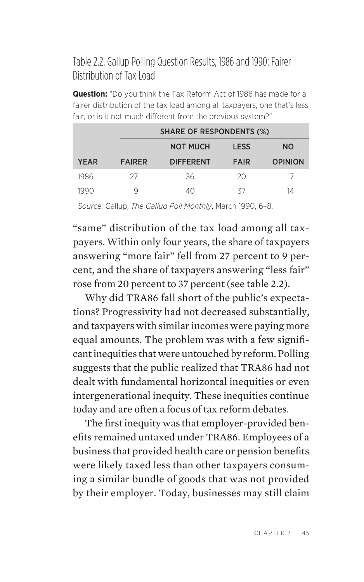#### Table 2.2. Gallup Polling Question Results, 1986 and 1990: Fairer Distribution of Tax Load

**Question:** "Do you think the Tax Reform Act of 1986 has made for a fairer distribution of the tax load among all taxpayers, one that's less fair, or is it not much different from the previous system?"

|             |               | <b>SHARE OF RESPONDENTS (%)</b> |             |                |  |  |
|-------------|---------------|---------------------------------|-------------|----------------|--|--|
|             |               | <b>NOT MUCH</b>                 | <b>LESS</b> | <b>NO</b>      |  |  |
| <b>YEAR</b> | <b>FAIRER</b> | <b>DIFFERENT</b>                | <b>FAIR</b> | <b>OPINION</b> |  |  |
| 1986        | 27            | 36                              | 20          | 17             |  |  |
| 1990        | Ч             | $\Delta()$                      | $\sim$      | 14             |  |  |

*Source:* Gallup, *The Gallup Poll Monthly*, March 1990, 6–8.

"same" distribution of the tax load among all taxpayers. Within only four years, the share of taxpayers answering "more fair" fell from 27 percent to 9 percent, and the share of taxpayers answering "less fair" rose from 20 percent to 37 percent (see table 2.2).

Why did TRA86 fall short of the public's expectations? Progressivity had not decreased substantially, and taxpayers with similar incomes were paying more equal amounts. The problem was with a few significant inequities that were untouched by reform. Polling suggests that the public realized that TRA86 had not dealt with fundamental horizontal inequities or even intergenerational inequity. These inequities continue today and are often a focus of tax reform debates.

The first inequity was that employer-provided benefits remained untaxed under TRA86. Employees of a business that provided health care or pension benefits were likely taxed less than other taxpayers consuming a similar bundle of goods that was not provided by their employer. Today, businesses may still claim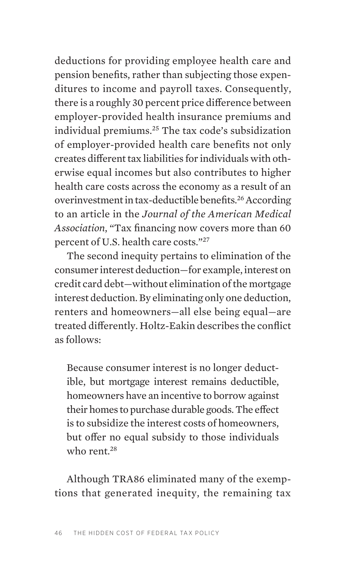deductions for providing employee health care and pension benefits, rather than subjecting those expenditures to income and payroll taxes. Consequently, there is a roughly 30 percent price difference between employer-provided health insurance premiums and individual premiums[.25](#page-34-0) The tax code's subsidization of employer-provided health care benefits not only creates different tax liabilities for individuals with otherwise equal incomes but also contributes to higher health care costs across the economy as a result of an overinvestment in tax-deductible benefits.[26](#page-34-0) According to an article in the *Journal of the American Medical Association*, "Tax financing now covers more than 60 percent of U.S. health care costs."[27](#page-34-0)

The second inequity pertains to elimination of the consumer interest deduction—for example, interest on credit card debt—without elimination of the mortgage interest deduction. By eliminating only one deduction, renters and homeowners—all else being equal—are treated differently. Holtz-Eakin describes the conflict as follows:

Because consumer interest is no longer deductible, but mortgage interest remains deductible, homeowners have an incentive to borrow against their homes to purchase durable goods. The effect is to subsidize the interest costs of homeowners, but offer no equal subsidy to those individuals who rent.<sup>[28](#page-34-0)</sup>

Although TRA86 eliminated many of the exemptions that generated inequity, the remaining tax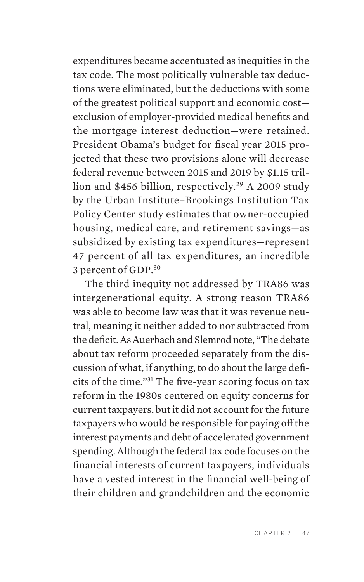expenditures became accentuated as inequities in the tax code. The most politically vulnerable tax deductions were eliminated, but the deductions with some of the greatest political support and economic cost exclusion of employer-provided medical benefits and the mortgage interest deduction—were retained. President Obama's budget for fiscal year 2015 projected that these two provisions alone will decrease federal revenue between 2015 and 2019 by \$1.15 trillion and \$456 billion, respectively.<sup>29</sup> A 2009 study by the Urban Institute–Brookings Institution Tax Policy Center study estimates that owner-occupied housing, medical care, and retirement savings—as subsidized by existing tax expenditures—represent 47 percent of all tax expenditures, an incredible 3 percent of GDP.<sup>[30](#page-34-0)</sup>

The third inequity not addressed by TRA86 was intergenerational equity. A strong reason TRA86 was able to become law was that it was revenue neutral, meaning it neither added to nor subtracted from the deficit. As Auerbach and Slemrod note, "The debate about tax reform proceeded separately from the discussion of what, if anything, to do about the large deficits of the time."[31](#page-34-0) The five-year scoring focus on tax reform in the 1980s centered on equity concerns for current taxpayers, but it did not account for the future taxpayers who would be responsible for paying off the interest payments and debt of accelerated government spending. Although the federal tax code focuses on the financial interests of current taxpayers, individuals have a vested interest in the financial well-being of their children and grandchildren and the economic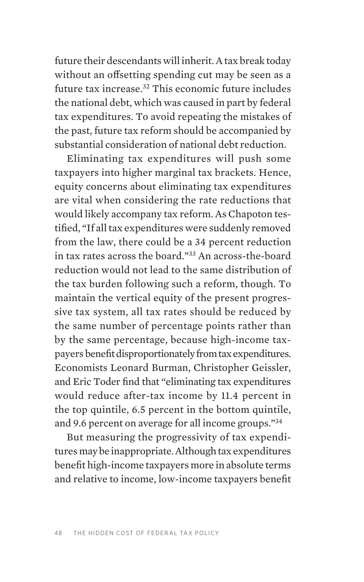future their descendants will inherit. A tax break today without an offsetting spending cut may be seen as a future tax increase[.32](#page-34-0) This economic future includes the national debt, which was caused in part by federal tax expenditures. To avoid repeating the mistakes of the past, future tax reform should be accompanied by substantial consideration of national debt reduction.

Eliminating tax expenditures will push some taxpayers into higher marginal tax brackets. Hence, equity concerns about eliminating tax expenditures are vital when considering the rate reductions that would likely accompany tax reform. As Chapoton testified, "If all tax expenditures were suddenly removed from the law, there could be a 34 percent reduction in tax rates across the board."[33](#page-34-0) An across-the-board reduction would not lead to the same distribution of the tax burden following such a reform, though. To maintain the vertical equity of the present progressive tax system, all tax rates should be reduced by the same number of percentage points rather than by the same percentage, because high-income taxpayers benefit disproportionately from tax expenditures. Economists Leonard Burman, Christopher Geissler, and Eric Toder find that "eliminating tax expenditures would reduce after-tax income by 11.4 percent in the top quintile, 6.5 percent in the bottom quintile, and 9.6 percent on average for all income groups.["34](#page-34-0)

But measuring the progressivity of tax expenditures may be inappropriate. Although tax expenditures benefit high-income taxpayers more in absolute terms and relative to income, low-income taxpayers benefit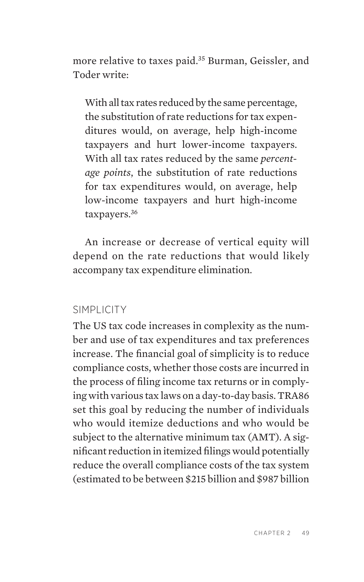more relative to taxes paid.<sup>35</sup> Burman, Geissler, and Toder write:

With all tax rates reduced by the same percentage, the substitution of rate reductions for tax expenditures would, on average, help high-income taxpayers and hurt lower-income taxpayers. With all tax rates reduced by the same *percentage points*, the substitution of rate reductions for tax expenditures would, on average, help low-income taxpayers and hurt high-income taxpayers[.36](#page-34-0)

An increase or decrease of vertical equity will depend on the rate reductions that would likely accompany tax expenditure elimination.

#### SIMPLICITY

The US tax code increases in complexity as the number and use of tax expenditures and tax preferences increase. The financial goal of simplicity is to reduce compliance costs, whether those costs are incurred in the process of filing income tax returns or in complying with various tax laws on a day-to-day basis. TRA86 set this goal by reducing the number of individuals who would itemize deductions and who would be subject to the alternative minimum tax (AMT). A significant reduction in itemized filings would potentially reduce the overall compliance costs of the tax system (estimated to be between \$215 billion and \$987 billion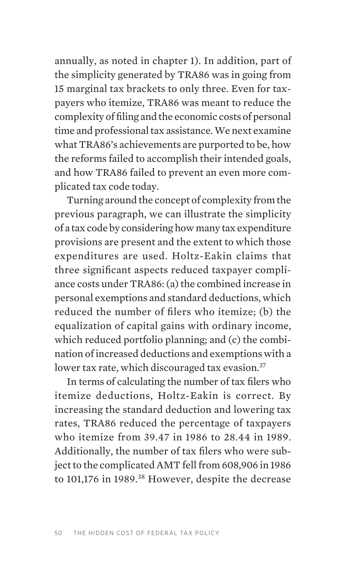annually, as noted in chapter 1). In addition, part of the simplicity generated by TRA86 was in going from 15 marginal tax brackets to only three. Even for taxpayers who itemize, TRA86 was meant to reduce the complexity of filing and the economic costs of personal time and professional tax assistance. We next examine what TRA86's achievements are purported to be, how the reforms failed to accomplish their intended goals, and how TRA86 failed to prevent an even more complicated tax code today.

Turning around the concept of complexity from the previous paragraph, we can illustrate the simplicity of a tax code by considering how many tax expenditure provisions are present and the extent to which those expenditures are used. Holtz-Eakin claims that three significant aspects reduced taxpayer compliance costs under TRA86: (a) the combined increase in personal exemptions and standard deductions, which reduced the number of filers who itemize; (b) the equalization of capital gains with ordinary income, which reduced portfolio planning; and (c) the combination of increased deductions and exemptions with a lower tax rate, which discouraged tax evasion.<sup>[37](#page-34-0)</sup>

In terms of calculating the number of tax filers who itemize deductions, Holtz-Eakin is correct. By increasing the standard deduction and lowering tax rates, TRA86 reduced the percentage of taxpayers who itemize from 39.47 in 1986 to 28.44 in 1989. Additionally, the number of tax filers who were subject to the complicated AMT fell from 608,906 in 1986 to 101,176 in 1989.<sup>38</sup> However, despite the decrease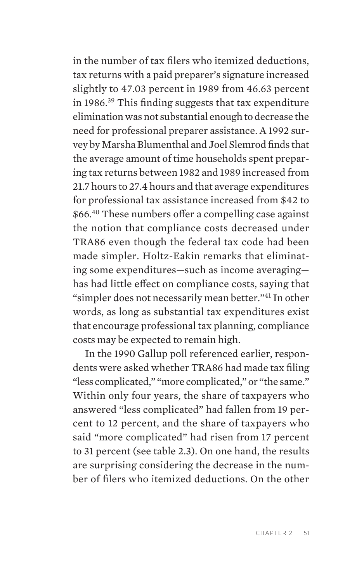in the number of tax filers who itemized deductions, tax returns with a paid preparer's signature increased slightly to 47.03 percent in 1989 from 46.63 percent in 1986.[39](#page-35-0) This finding suggests that tax expenditure elimination was not substantial enough to decrease the need for professional preparer assistance. A 1992 survey by Marsha Blumenthal and Joel Slemrod finds that the average amount of time households spent preparing tax returns between 1982 and 1989 increased from 21.7 hours to 27.4 hours and that average expenditures for professional tax assistance increased from \$42 to \$66.[40](#page-35-0) These numbers offer a compelling case against the notion that compliance costs decreased under TRA86 even though the federal tax code had been made simpler. Holtz-Eakin remarks that eliminating some expenditures—such as income averaging has had little effect on compliance costs, saying that "simpler does not necessarily mean better."[41](#page-35-0) In other words, as long as substantial tax expenditures exist that encourage professional tax planning, compliance costs may be expected to remain high.

In the 1990 Gallup poll referenced earlier, respondents were asked whether TRA86 had made tax filing "less complicated," "more complicated," or "the same." Within only four years, the share of taxpayers who answered "less complicated" had fallen from 19 percent to 12 percent, and the share of taxpayers who said "more complicated" had risen from 17 percent to 31 percent (see table 2.3). On one hand, the results are surprising considering the decrease in the number of filers who itemized deductions. On the other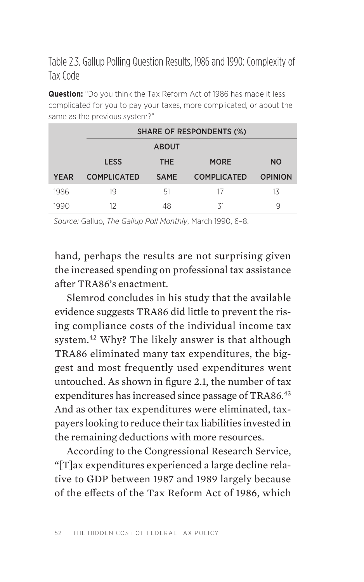Table 2.3. Gallup Polling Question Results, 1986 and 1990: Complexity of Tax Code

**Question:** "Do you think the Tax Reform Act of 1986 has made it less complicated for you to pay your taxes, more complicated, or about the same as the previous system?"

|             | <b>SHARE OF RESPONDENTS (%)</b> |             |                    |                |  |  |  |
|-------------|---------------------------------|-------------|--------------------|----------------|--|--|--|
|             | <b>ABOUT</b>                    |             |                    |                |  |  |  |
|             | <b>LESS</b>                     | <b>THE</b>  | <b>MORE</b>        | <b>NO</b>      |  |  |  |
| <b>YEAR</b> | <b>COMPLICATED</b>              | <b>SAME</b> | <b>COMPLICATED</b> | <b>OPINION</b> |  |  |  |
| 1986        | 19                              | .51         | 17                 | 13             |  |  |  |
| 1990        | 12                              | 48          | 31                 | 9              |  |  |  |

*Source:* Gallup, *The Gallup Poll Monthly*, March 1990, 6–8.

hand, perhaps the results are not surprising given the increased spending on professional tax assistance after TRA86's enactment.

Slemrod concludes in his study that the available evidence suggests TRA86 did little to prevent the rising compliance costs of the individual income tax system[.42](#page-35-0) Why? The likely answer is that although TRA86 eliminated many tax expenditures, the biggest and most frequently used expenditures went untouched. As shown in figure 2.1, the number of tax expenditures has increased since passage of TRA86.<sup>[43](#page-35-0)</sup> And as other tax expenditures were eliminated, taxpayers looking to reduce their tax liabilities invested in the remaining deductions with more resources.

According to the Congressional Research Service, "[T]ax expenditures experienced a large decline relative to GDP between 1987 and 1989 largely because of the effects of the Tax Reform Act of 1986, which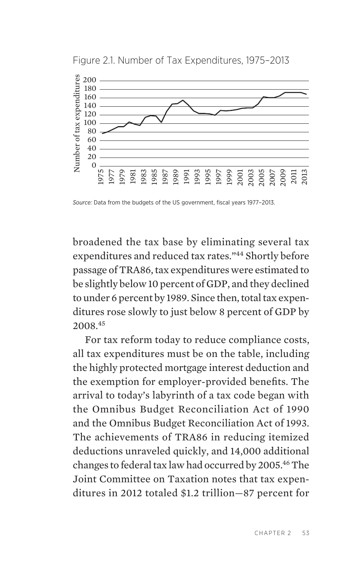

Figure 2.1. Number of Tax Expenditures, 1975–2013

*Source:* Data from the budgets of the US government, fiscal years 1977–2013.

broadened the tax base by eliminating several tax expenditures and reduced tax rates."[44](#page-35-0) Shortly before passage of TRA86, tax expenditures were estimated to be slightly below 10 percent of GDP, and they declined to under 6 percent by 1989. Since then, total tax expenditures rose slowly to just below 8 percent of GDP by 2008.[45](#page-35-0)

For tax reform today to reduce compliance costs, all tax expenditures must be on the table, including the highly protected mortgage interest deduction and the exemption for employer-provided benefits. The arrival to today's labyrinth of a tax code began with the Omnibus Budget Reconciliation Act of 1990 and the Omnibus Budget Reconciliation Act of 1993. The achievements of TRA86 in reducing itemized deductions unraveled quickly, and 14,000 additional changes to federal tax law had occurred by 2005.[46](#page-35-0) The Joint Committee on Taxation notes that tax expenditures in 2012 totaled \$1.2 trillion—87 percent for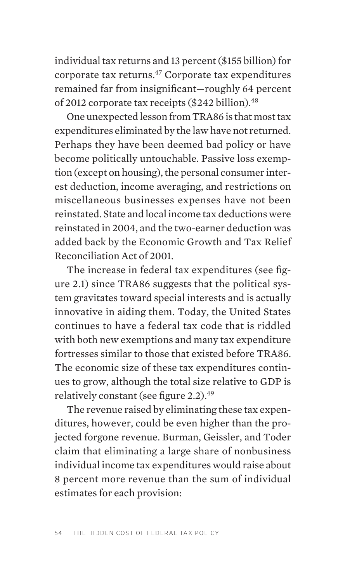individual tax returns and 13 percent (\$155 billion) for corporate tax returns[.47](#page-35-0) Corporate tax expenditures remained far from insignificant—roughly 64 percent of 2012 corporate tax receipts (\$242 billion).<sup>48</sup>

One unexpected lesson from TRA86 is that most tax expenditures eliminated by the law have not returned. Perhaps they have been deemed bad policy or have become politically untouchable. Passive loss exemption (except on housing), the personal consumer interest deduction, income averaging, and restrictions on miscellaneous businesses expenses have not been reinstated. State and local income tax deductions were reinstated in 2004, and the two-earner deduction was added back by the Economic Growth and Tax Relief Reconciliation Act of 2001.

The increase in federal tax expenditures (see figure 2.1) since TRA86 suggests that the political system gravitates toward special interests and is actually innovative in aiding them. Today, the United States continues to have a federal tax code that is riddled with both new exemptions and many tax expenditure fortresses similar to those that existed before TRA86. The economic size of these tax expenditures continues to grow, although the total size relative to GDP is relatively constant (see figure 2.2).<sup>[49](#page-35-0)</sup>

The revenue raised by eliminating these tax expenditures, however, could be even higher than the projected forgone revenue. Burman, Geissler, and Toder claim that eliminating a large share of nonbusiness individual income tax expenditures would raise about 8 percent more revenue than the sum of individual estimates for each provision: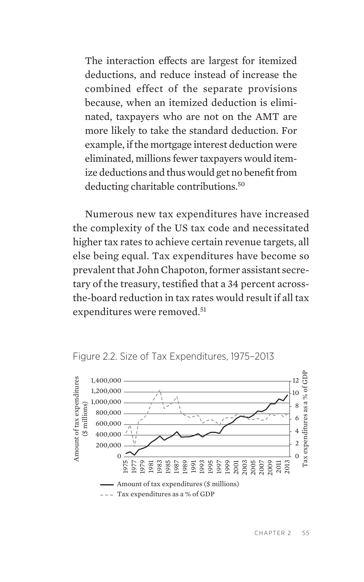The interaction effects are largest for itemized deductions, and reduce instead of increase the combined effect of the separate provisions because, when an itemized deduction is eliminated, taxpayers who are not on the AMT are more likely to take the standard deduction. For example, if the mortgage interest deduction were eliminated, millions fewer taxpayers would itemize deductions and thus would get no benefit from deducting charitable contributions.<sup>50</sup>

Numerous new tax expenditures have increased the complexity of the US tax code and necessitated higher tax rates to achieve certain revenue targets, all else being equal. Tax expenditures have become so prevalent that John Chapoton, former assistant secretary of the treasury, testified that a 34 percent acrossthe-board reduction in tax rates would result if all tax expenditures were removed.<sup>51</sup>





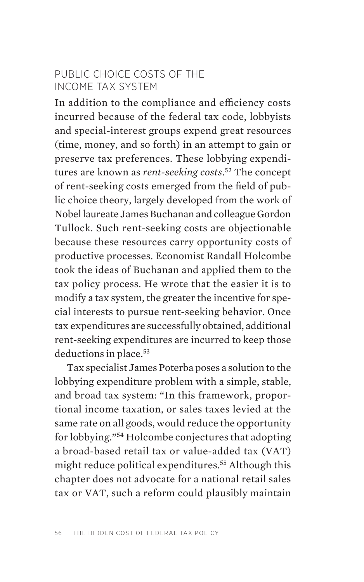#### PUBLIC CHOICE COSTS OF THE INCOME TAX SYSTEM

In addition to the compliance and efficiency costs incurred because of the federal tax code, lobbyists and special-interest groups expend great resources (time, money, and so forth) in an attempt to gain or preserve tax preferences. These lobbying expenditures are known as *rent-seeking costs*. [52](#page-36-0) The concept of rent-seeking costs emerged from the field of public choice theory, largely developed from the work of Nobel laureate James Buchanan and colleague Gordon Tullock. Such rent-seeking costs are objectionable because these resources carry opportunity costs of productive processes. Economist Randall Holcombe took the ideas of Buchanan and applied them to the tax policy process. He wrote that the easier it is to modify a tax system, the greater the incentive for special interests to pursue rent-seeking behavior. Once tax expenditures are successfully obtained, additional rent-seeking expenditures are incurred to keep those deductions in place.<sup>[53](#page-36-0)</sup>

Tax specialist James Poterba poses a solution to the lobbying expenditure problem with a simple, stable, and broad tax system: "In this framework, proportional income taxation, or sales taxes levied at the same rate on all goods, would reduce the opportunity for lobbying.["54](#page-36-0) Holcombe conjectures that adopting a broad-based retail tax or value-added tax (VAT) might reduce political expenditures.<sup>[55](#page-36-0)</sup> Although this chapter does not advocate for a national retail sales tax or VAT, such a reform could plausibly maintain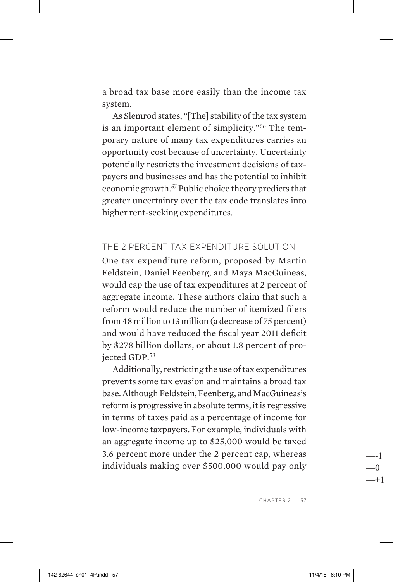a broad tax base more easily than the income tax system.

As Slemrod states, "[The] stability of the tax system is an important element of simplicity.["56](#page-36-0) The temporary nature of many tax expenditures carries an opportunity cost because of uncertainty. Uncertainty potentially restricts the investment decisions of taxpayers and businesses and has the potential to inhibit economic growth[.57](#page-36-0) Public choice theory predicts that greater uncertainty over the tax code translates into higher rent-seeking expenditures.

#### THE 2 PERCENT TAX EXPENDITURE SOLUTION

One tax expenditure reform, proposed by Martin Feldstein, Daniel Feenberg, and Maya MacGuineas, would cap the use of tax expenditures at 2 percent of aggregate income. These authors claim that such a reform would reduce the number of itemized filers from 48 million to 13 million (a decrease of 75 percent) and would have reduced the fiscal year 2011 deficit by \$278 billion dollars, or about 1.8 percent of projected GDP.[58](#page-36-0)

Additionally, restricting the use of tax expenditures prevents some tax evasion and maintains a broad tax base. Although Feldstein, Feenberg, and MacGuineas's reform is progressive in absolute terms, it is regressive in terms of taxes paid as a percentage of income for low- income taxpayers. For example, individuals with an aggregate income up to \$25,000 would be taxed 3.6 percent more under the 2 percent cap, whereas individuals making over \$500,000 would pay only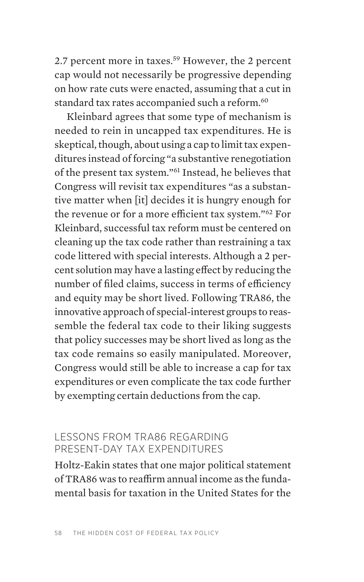2.7 percent more in taxes.<sup>59</sup> However, the 2 percent cap would not necessarily be progressive depending on how rate cuts were enacted, assuming that a cut in standard tax rates accompanied such a reform.<sup>60</sup>

Kleinbard agrees that some type of mechanism is needed to rein in uncapped tax expenditures. He is skeptical, though, about using a cap to limit tax expenditures instead of forcing "a substantive renegotiation of the present tax system."[61](#page-36-0) Instead, he believes that Congress will revisit tax expenditures "as a substantive matter when [it] decides it is hungry enough for the revenue or for a more efficient tax system."[62](#page-36-0) For Kleinbard, successful tax reform must be centered on cleaning up the tax code rather than restraining a tax code littered with special interests. Although a 2 percent solution may have a lasting effect by reducing the number of filed claims, success in terms of efficiency and equity may be short lived. Following TRA86, the innovative approach of special-interest groups to reassemble the federal tax code to their liking suggests that policy successes may be short lived as long as the tax code remains so easily manipulated. Moreover, Congress would still be able to increase a cap for tax expenditures or even complicate the tax code further by exempting certain deductions from the cap.

#### LESSONS FROM TRA86 REGARDING PRESENT-DAY TAX EXPENDITURES

Holtz-Eakin states that one major political statement of TRA86 was to reaffirm annual income as the fundamental basis for taxation in the United States for the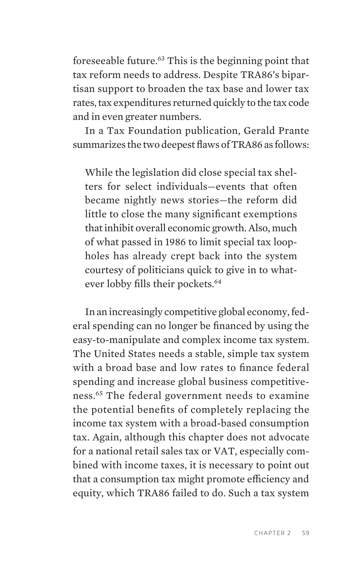foreseeable future[.63](#page-36-0) This is the beginning point that tax reform needs to address. Despite TRA86's bipartisan support to broaden the tax base and lower tax rates, tax expenditures returned quickly to the tax code and in even greater numbers.

In a Tax Foundation publication, Gerald Prante summarizes the two deepest flaws of TRA86 as follows:

While the legislation did close special tax shelters for select individuals—events that often became nightly news stories—the reform did little to close the many significant exemptions that inhibit overall economic growth. Also, much of what passed in 1986 to limit special tax loopholes has already crept back into the system courtesy of politicians quick to give in to whatever lobby fills their pockets.<sup>64</sup>

In an increasingly competitive global economy, federal spending can no longer be financed by using the easy-to-manipulate and complex income tax system. The United States needs a stable, simple tax system with a broad base and low rates to finance federal spending and increase global business competitiveness.[65](#page-36-0) The federal government needs to examine the potential benefits of completely replacing the income tax system with a broad-based consumption tax. Again, although this chapter does not advocate for a national retail sales tax or VAT, especially combined with income taxes, it is necessary to point out that a consumption tax might promote efficiency and equity, which TRA86 failed to do. Such a tax system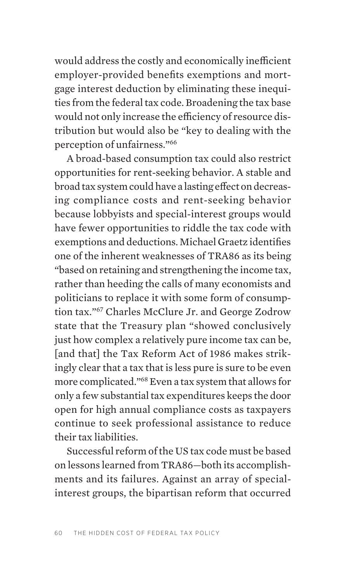would address the costly and economically inefficient employer-provided benefits exemptions and mortgage interest deduction by eliminating these inequities from the federal tax code. Broadening the tax base would not only increase the efficiency of resource distribution but would also be "key to dealing with the perception of unfairness.["66](#page-36-0)

A broad-based consumption tax could also restrict opportunities for rent-seeking behavior. A stable and broad tax system could have a lasting effect on decreasing compliance costs and rent-seeking behavior because lobbyists and special-interest groups would have fewer opportunities to riddle the tax code with exemptions and deductions. Michael Graetz identifies one of the inherent weaknesses of TRA86 as its being "based on retaining and strengthening the income tax, rather than heeding the calls of many economists and politicians to replace it with some form of consumption tax.["67](#page-36-0) Charles McClure Jr. and George Zodrow state that the Treasury plan "showed conclusively just how complex a relatively pure income tax can be, [and that] the Tax Reform Act of 1986 makes strikingly clear that a tax that is less pure is sure to be even more complicated.["68](#page-36-0) Even a tax system that allows for only a few substantial tax expenditures keeps the door open for high annual compliance costs as taxpayers continue to seek professional assistance to reduce their tax liabilities.

Successful reform of the US tax code must be based on lessons learned from TRA86—both its accomplishments and its failures. Against an array of specialinterest groups, the bipartisan reform that occurred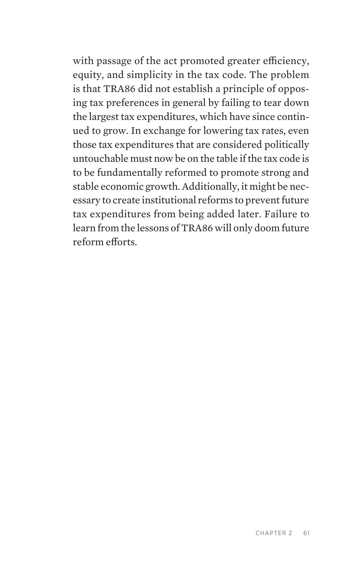with passage of the act promoted greater efficiency, equity, and simplicity in the tax code. The problem is that TRA86 did not establish a principle of opposing tax preferences in general by failing to tear down the largest tax expenditures, which have since continued to grow. In exchange for lowering tax rates, even those tax expenditures that are considered politically untouchable must now be on the table if the tax code is to be fundamentally reformed to promote strong and stable economic growth. Additionally, it might be necessary to create institutional reforms to prevent future tax expenditures from being added later. Failure to learn from the lessons of TRA86 will only doom future reform efforts.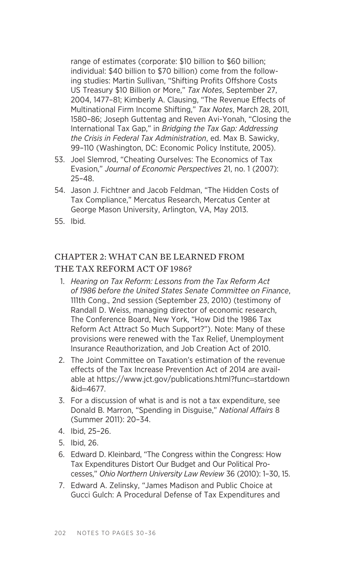<span id="page-32-0"></span>range of estimates (corporate: \$10 billion to \$60 billion; individual: \$40 billion to \$70 billion) come from the following studies: Martin Sullivan, "Shifting Profits Offshore Costs US Treasury \$10 Billion or More," *Tax Notes*, September 27, 2004, 1477–81; Kimberly A. Clausing, "The Revenue Effects of Multinational Firm Income Shifting," *Tax Notes*, March 28, 2011, 1580–86; Joseph Guttentag and Reven Avi-Yonah, "Closing the International Tax Gap," in *Bridging the Tax Gap: Addressing the Crisis in Federal Tax Administration*, ed. Max B. Sawicky, 99–110 (Washington, DC: Economic Policy Institute, 2005).

- 53. Joel Slemrod, "Cheating Ourselves: The Economics of Tax Evasion," *Journal of Economic Perspectives* 21, no. 1 (2007): 25–48.
- 54. Jason J. Fichtner and Jacob Feldman, "The Hidden Costs of Tax Compliance," Mercatus Research, Mercatus Center at George Mason University, Arlington, VA, May 2013.
- 55. Ibid.

#### CHAPTER 2: WHAT CAN BE LEARNED FROM THE TAX REFORM ACT OF 1986?

- 1. *Hearing on Tax Reform: Lessons from the Tax Reform Act of 1986 before the United States Senate Committee on Finance*, 111th Cong., 2nd session (September 23, 2010) (testimony of Randall D. Weiss, managing director of economic research, The Conference Board, New York, "How Did the 1986 Tax Reform Act Attract So Much Support?"). Note: Many of these provisions were renewed with the Tax Relief, Unemployment Insurance Reauthorization, and Job Creation Act of 2010.
- 2. The Joint Committee on Taxation's estimation of the revenue effects of the Tax Increase Prevention Act of 2014 are available at https://www.jct.gov/publications.html?func=startdown &id=4677.
- 3. For a discussion of what is and is not a tax expenditure, see Donald B. Marron, "Spending in Disguise," *National Affairs* 8 (Summer 2011): 20–34.
- 4. Ibid, 25–26.
- 5. Ibid, 26.
- 6. Edward D. Kleinbard, "The Congress within the Congress: How Tax Expenditures Distort Our Budget and Our Political Processes," *Ohio Northern University Law Review* 36 (2010): 1–30, 15.
- 7. Edward A. Zelinsky, "James Madison and Public Choice at Gucci Gulch: A Procedural Defense of Tax Expenditures and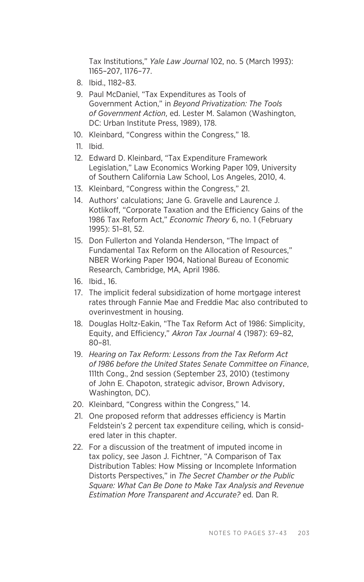<span id="page-33-0"></span>Tax Institutions," *Yale Law Journal* 102, no. 5 (March 1993): 1165–207, 1176–77.

- 8. Ibid., 1182–83.
- 9. Paul McDaniel, "Tax Expenditures as Tools of Government Action," in *Beyond Privatization: The Tools of Government Action*, ed. Lester M. Salamon (Washington, DC: Urban Institute Press, 1989), 178.
- 10. Kleinbard, "Congress within the Congress," 18.
- 11. Ibid.
- 12. Edward D. Kleinbard, "Tax Expenditure Framework Legislation," Law Economics Working Paper 109, University of Southern California Law School, Los Angeles, 2010, 4.
- 13. Kleinbard, "Congress within the Congress," 21.
- 14. Authors' calculations; Jane G. Gravelle and Laurence J. Kotlikoff, "Corporate Taxation and the Efficiency Gains of the 1986 Tax Reform Act," *Economic Theory* 6, no. 1 (February 1995): 51–81, 52.
- 15. Don Fullerton and Yolanda Henderson, "The Impact of Fundamental Tax Reform on the Allocation of Resources," NBER Working Paper 1904, National Bureau of Economic Research, Cambridge, MA, April 1986.
- 16. Ibid., 16.
- 17. The implicit federal subsidization of home mortgage interest rates through Fannie Mae and Freddie Mac also contributed to overinvestment in housing.
- 18. Douglas Holtz-Eakin, "The Tax Reform Act of 1986: Simplicity, Equity, and Efficiency," *Akron Tax Journal* 4 (1987): 69–82, 80–81.
- 19. *Hearing on Tax Reform: Lessons from the Tax Reform Act of 1986 before the United States Senate Committee on Finance*, 111th Cong., 2nd session (September 23, 2010) (testimony of John E. Chapoton, strategic advisor, Brown Advisory, Washington, DC).
- 20. Kleinbard, "Congress within the Congress," 14.
- 21. One proposed reform that addresses efficiency is Martin Feldstein's 2 percent tax expenditure ceiling, which is considered later in this chapter.
- 22. For a discussion of the treatment of imputed income in tax policy, see Jason J. Fichtner, "A Comparison of Tax Distribution Tables: How Missing or Incomplete Information Distorts Perspectives," in *The Secret Chamber or the Public Square: What Can Be Done to Make Tax Analysis and Revenue Estimation More Transparent and Accurate?* ed. Dan R.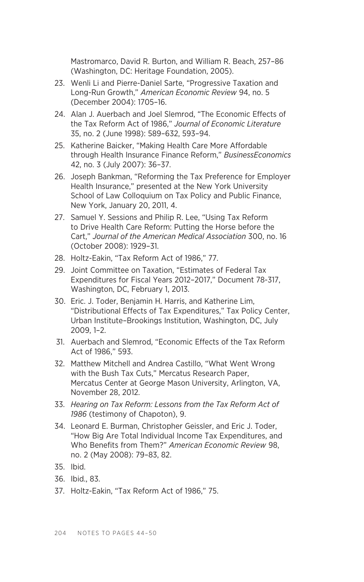<span id="page-34-0"></span>Mastromarco, David R. Burton, and William R. Beach, 257–86 (Washington, DC: Heritage Foundation, 2005).

- 23. Wenli Li and Pierre-Daniel Sarte, "Progressive Taxation and Long-Run Growth," *American Economic Review* 94, no. 5 (December 2004): 1705–16.
- 24. Alan J. Auerbach and Joel Slemrod, "The Economic Effects of the Tax Reform Act of 1986," *Journal of Economic Literature* 35, no. 2 (June 1998): 589–632, 593–94.
- 25. Katherine Baicker, "Making Health Care More Affordable through Health Insurance Finance Reform," *BusinessEconomics* 42, no. 3 (July 2007): 36–37.
- 26. Joseph Bankman, "Reforming the Tax Preference for Employer Health Insurance," presented at the New York University School of Law Colloquium on Tax Policy and Public Finance, New York, January 20, 2011, 4.
- 27. Samuel Y. Sessions and Philip R. Lee, "Using Tax Reform to Drive Health Care Reform: Putting the Horse before the Cart," *Journal of the American Medical Association* 300, no. 16 (October 2008): 1929–31.
- 28. Holtz-Eakin, "Tax Reform Act of 1986," 77.
- 29. Joint Committee on Taxation, "Estimates of Federal Tax Expenditures for Fiscal Years 2012–2017," Document 78-317, Washington, DC, February 1, 2013.
- 30. Eric. J. Toder, Benjamin H. Harris, and Katherine Lim, "Distributional Effects of Tax Expenditures," Tax Policy Center, Urban Institute–Brookings Institution, Washington, DC, July 2009, 1–2.
- 31. Auerbach and Slemrod, "Economic Effects of the Tax Reform Act of 1986," 593.
- 32. Matthew Mitchell and Andrea Castillo, "What Went Wrong with the Bush Tax Cuts," Mercatus Research Paper, Mercatus Center at George Mason University, Arlington, VA, November 28, 2012.
- 33. *Hearing on Tax Reform: Lessons from the Tax Reform Act of 1986* (testimony of Chapoton), 9.
- 34. Leonard E. Burman, Christopher Geissler, and Eric J. Toder, "How Big Are Total Individual Income Tax Expenditures, and Who Benefits from Them?" *American Economic Review* 98, no. 2 (May 2008): 79–83, 82.
- 35. Ibid.
- 36. Ibid., 83.
- 37. Holtz-Eakin, "Tax Reform Act of 1986," 75.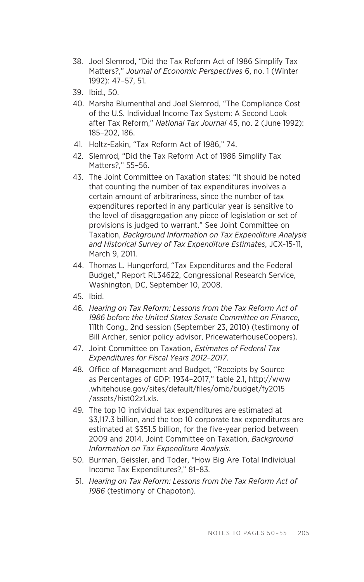- <span id="page-35-0"></span>38. Joel Slemrod, "Did the Tax Reform Act of 1986 Simplify Tax Matters?," *Journal of Economic Perspectives* 6, no. 1 (Winter 1992): 47–57, 51.
- 39. Ibid., 50.
- 40. Marsha Blumenthal and Joel Slemrod, "The Compliance Cost of the U.S. Individual Income Tax System: A Second Look after Tax Reform," *National Tax Journal* 45, no. 2 (June 1992): 185–202, 186.
- 41. Holtz-Eakin, "Tax Reform Act of 1986," 74.
- 42. Slemrod, "Did the Tax Reform Act of 1986 Simplify Tax Matters?," 55–56.
- 43. The Joint Committee on Taxation states: "It should be noted that counting the number of tax expenditures involves a certain amount of arbitrariness, since the number of tax expenditures reported in any particular year is sensitive to the level of disaggregation any piece of legislation or set of provisions is judged to warrant." See Joint Committee on Taxation, *Background Information on Tax Expenditure Analysis and Historical Survey of Tax Expenditure Estimates*, JCX-15-11, March 9, 2011.
- 44. Thomas L. Hungerford, "Tax Expenditures and the Federal Budget," Report RL34622, Congressional Research Service, Washington, DC, September 10, 2008.
- 45. Ibid.
- 46. *Hearing on Tax Reform: Lessons from the Tax Reform Act of 1986 before the United States Senate Committee on Finance*, 111th Cong., 2nd session (September 23, 2010) (testimony of Bill Archer, senior policy advisor, PricewaterhouseCoopers).
- 47. Joint Committee on Taxation, *Estimates of Federal Tax Expenditures for Fiscal Years 2012–2017*.
- 48. Office of Management and Budget, "Receipts by Source as Percentages of GDP: 1934–2017," table 2.1, http://www .whitehouse.gov/sites/default/files/omb/budget/fy2015 /assets/hist02z1.xls.
- 49. The top 10 individual tax expenditures are estimated at \$3,117.3 billion, and the top 10 corporate tax expenditures are estimated at \$351.5 billion, for the five-year period between 2009 and 2014. Joint Committee on Taxation, *Background Information on Tax Expenditure Analysis*.
- 50. Burman, Geissler, and Toder, "How Big Are Total Individual Income Tax Expenditures?," 81–83.
- 51. *Hearing on Tax Reform: Lessons from the Tax Reform Act of 1986* (testimony of Chapoton).